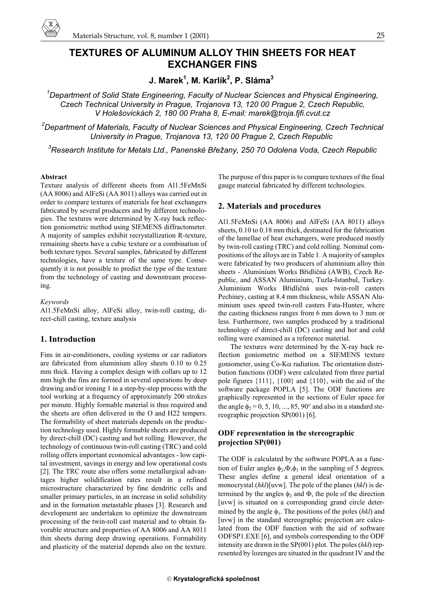

# **TEXTURES OF ALUMINUM ALLOY THIN SHEETS FOR HEAT EXCHANGER FINS**

**J. Marek<sup>1</sup> , M. Karlík<sup>2</sup> , P. Sláma<sup>3</sup>**

*1 Department of Solid State Engineering, Faculty of Nuclear Sciences and Physical Engineering, Czech Technical University in Prague, Trojanova 13, 120 00 Prague 2, Czech Republic, V Holešovickách 2, 180 00 Praha 8, E-mail: marek@troja.fjfi.cvut.cz*

*2 Department of Materials, Faculty of Nuclear Sciences and Physical Engineering, Czech Technical University in Prague, Trojanova 13, 120 00 Prague 2, Czech Republic*

 $^3$ Research Institute for Metals Ltd., Panenské Břežany, 250 70 Odolena Voda, Czech Republic

#### **Abstract**

Texture analysis of different sheets from Al1.5FeMnSi (AA 8006) and AlFeSi (AA 8011) alloys was carried out in order to compare textures of materials for heat exchangers fabricated by several producers and by different technologies. The textures were determined by X-ray back reflection goniometric method using SIEMENS diffractometer. A majority of samples exhibit recrystallization R-texture, remaining sheets have a cubic texture or a combination of both texture types. Several samples, fabricated by different technologies, have a texture of the same type. Consequently it is not possible to predict the type of the texture from the technology of casting and downstream processing.

*Keywords*

Al1.5FeMnSi alloy, AlFeSi alloy, twin-roll casting, direct-chill casting, texture analysis

# **1. Introduction**

Fins in air-conditioners, cooling systems or car radiators are fabricated from aluminium alloy sheets 0.10 to 0.25 mm thick. Having a complex design with collars up to 12 mm high the fins are formed in several operations by deep drawing and/or ironing 1 in a step-by-step process with the tool working at a frequency of approximately 200 strokes per minute. Highly formable material is thus required and the sheets are often delivered in the O and H22 tempers. The formability of sheet materials depends on the production technology used. Highly formable sheets are produced by direct-chill (DC) casting and hot rolling. However, the technology of continuous twin-roll casting (TRC) and cold rolling offers important economical advantages - low capital investment, savings in energy and low operational costs [2]. The TRC route also offers some metallurgical advantages higher solidification rates result in a refined microstructure characterized by fine dendritic cells and smaller primary particles, in an increase in solid solubility and in the formation metastable phases [3]. Research and development are undertaken to optimize the downstream processing of the twin-roll cast material and to obtain favorable structure and properties of AA 8006 and AA 8011 thin sheets during deep drawing operations. Formability and plasticity of the material depends also on the texture.

The purpose of this paper is to compare textures of the final gauge material fabricated by different technologies.

## **2. Materials and procedures**

Al1.5FeMnSi (AA 8006) and AlFeSi (AA 8011) alloys sheets, 0.10 to 0.18 mm thick, destinated for the fabrication of the lamellae of heat exchangers, were produced mostly by twin-roll casting (TRC) and cold rolling. Nominal compositions of the alloys are in Table 1. A majority of samples were fabricated by two producers of aluminium alloy thin sheets - Aluminium Works Břidličná (AWB), Czech Republic, and ASSAN Aluminium, Tuzla-Istanbul, Turkey. Aluminium Works Břidličná uses twin-roll casters Pechiney, casting at 8.4 mm thickness, while ASSAN Aluminium uses speed twin-roll casters Fata-Hunter, where the casting thickness ranges from 6 mm down to 3 mm or less. Furthermore, two samples produced by a traditional technology of direct-chill (DC) casting and hot and cold rolling were examined as a reference material.

The textures were determined by the X-ray back reflection goniometric method on a SIEMENS texture goniometer, using  $Co-K\alpha$  radiation. The orientation distribution functions (ODF) were calculated from three partial pole figures  $\{111\}$ ,  $\{100\}$  and  $\{110\}$ , with the aid of the software package POPLA [5]. The ODF functions are graphically represented in the sections of Euler space for the angle  $\phi_2 = 0, 5, 10, ..., 85, 90^\circ$  and also in a standard stereographic projection SP(001) [6].

# **ODF representation in the stereographic projection SP(001)**

The ODF is calculated by the software POPLA as a function of Euler angles  $\phi_2$ ,  $\Phi$ ,  $\phi_1$  in the sampling of 5 degrees. These angles define a general ideal orientation of a monocrystal (*hkl*)[uvw]. The pole of the planes (*hkl*) is determined by the angles  $\phi_2$  and  $\Phi$ , the pole of the direction [uvw] is situated on a corresponding grand circle determined by the angle  $\phi_1$ . The positions of the poles (*hkl*) and [uvw] in the standard stereographic projection are calculated from the ODF function with the aid of software ODFSP1.EXE [6], and symbols corresponding to the ODF intensity are drawn in the SP(001) plot. The poles (*hkl*) represented by lozenges are situated in the quadrant IV and the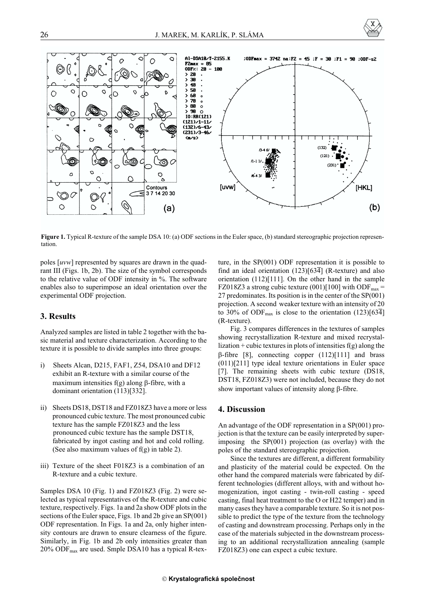



**Figure 1.** Typical R-texture of the sample DSA 10: (a) ODF sections in the Euler space, (b) standard stereographic projection representation.

poles [*uvw*] represented by squares are drawn in the quadrant III (Figs. 1b, 2b). The size of the symbol corresponds to the relative value of ODF intensity in %. The software enables also to superimpose an ideal orientation over the experimental ODF projection.

### **3. Results**

Analyzed samples are listed in table 2 together with the basic material and texture characterization. According to the texture it is possible to divide samples into three groups:

- i) Sheets Alcan, D215, FAF1, Z54, DSA10 and DF12 exhibit an R-texture with a similar course of the maximum intensities  $f(g)$  along  $\beta$ -fibre, with a dominant orientation (113)[332].
- ii) Sheets DS18, DST18 and FZ018Z3 have a more or less pronounced cubic texture. The most pronounced cubic texture has the sample FZ018Z3 and the less pronounced cubic texture has the sample DST18, fabricated by ingot casting and hot and cold rolling. (See also maximum values of  $f(g)$  in table 2).
- iii) Texture of the sheet F018Z3 is a combination of an R-texture and a cubic texture.

Samples DSA 10 (Fig. 1) and FZ018Z3 (Fig. 2) were selected as typical representatives of the R-texture and cubic texture, respectively. Figs. 1a and 2a show ODF plots in the sections of the Euler space, Figs. 1b and 2b give an SP(001) ODF representation. In Figs. 1a and 2a, only higher intensity contours are drawn to ensure clearness of the figure. Similarly, in Fig. 1b and 2b only intensities greater than 20% ODFmax are used. Smple DSA10 has a typical R-texture, in the SP(001) ODF representation it is possible to find an ideal orientation  $(123)[63\overline{4}]$  (R-texture) and also orientation (112)[111]. On the other hand in the sample FZ018Z3 a strong cubic texture (001)[100] with ODF<sub>max</sub> = 27 predominates. Its position is in the center of the SP(001) projection. A second weaker texture with an intensity of 20 to 30% of ODF<sub>max</sub> is close to the orientation  $(123)[63\overline{4}]$ (R-texture).

Fig. 3 compares differences in the textures of samples showing recrystallization R-texture and mixed recrystallization + cubic textures in plots of intensities  $f(g)$  along the  $\beta$ -fibre [8], connecting copper (112)[111] and brass (011)[211] type ideal texture orientations in Euler space [7]. The remaining sheets with cubic texture (DS18, DST18, FZ018Z3) were not included, because they do not show important values of intensity along  $\beta$ -fibre.

## **4. Discussion**

An advantage of the ODF representation in a SP(001) projection is that the texture can be easily interpreted by superimposing the SP(001) projection (as overlay) with the poles of the standard stereographic projection.

Since the textures are different, a different formability and plasticity of the material could be expected. On the other hand the compared materials were fabricated by different technologies (different alloys, with and without homogenization, ingot casting - twin-roll casting - speed casting, final heat treatment to the O or H22 temper) and in many cases they have a comparable texture. So it is not possible to predict the type of the texture from the technology of casting and downstream processing. Perhaps only in the case of the materials subjected in the downstream processing to an additional recrystallization annealing (sample FZ018Z3) one can expect a cubic texture.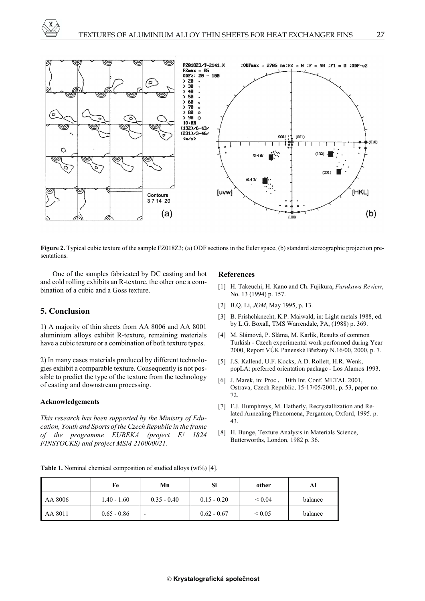



**Figure 2.** Typical cubic texture of the sample FZ018Z3; (a) ODF sections in the Euler space, (b) standard stereographic projection presentations.

One of the samples fabricated by DC casting and hot and cold rolling exhibits an R-texture, the other one a combination of a cubic and a Goss texture.

# **5. Conclusion**

1) A majority of thin sheets from AA 8006 and AA 8001 aluminium alloys exhibit R-texture, remaining materials have a cubic texture or a combination of both texture types.

2) In many cases materials produced by different technologies exhibit a comparable texture. Consequently is not possible to predict the type of the texture from the technology of casting and downstream processing.

#### **Acknowledgements**

*This research has been supported by the Ministry of Education, Youth and Sports of the Czech Republic in the frame of the programme EUREKA (project E! 1824 FINSTOCKS) and project MSM 210000021.*

#### **References**

- [1] H. Takeuchi, H. Kano and Ch. Fujikura, *Furukawa Review*, No. 13 (1994) p. 157.
- [2] B.Q. Li, *JOM*, May 1995, p. 13.
- [3] B. Frishchknecht, K.P. Maiwald, in: Light metals 1988, ed. by L.G. Boxall, TMS Warrendale, PA, (1988) p. 369.
- [4] M. Slámová, P. Sláma, M. Karlík, Results of common Turkish - Czech experimental work performed during Year 2000, Report VÚK Panenské Břežany N.16/00, 2000, p. 7.
- [5] J.S. Kallend, U.F. Kocks, A.D. Rollett, H.R. Wenk, popLA: preferred orientation package - Los Alamos 1993.
- [6] J. Marek, in: Proc. 10th Int. Conf. METAL 2001, Ostrava, Czech Republic, 15-17/05/2001, p. 53, paper no. 72.
- [7] F.J. Humphreys, M. Hatherly, Recrystallization and Related Annealing Phenomena, Pergamon, Oxford, 1995. p. 43.
- [8] H. Bunge, Texture Analysis in Materials Science, Butterworths, London, 1982 p. 36.

Table 1. Nominal chemical composition of studied alloys (wt%) [4].

|         | Fe            | Mn            | Si            | other            | Al      |
|---------|---------------|---------------|---------------|------------------|---------|
| AA 8006 | $1.40 - 1.60$ | $0.35 - 0.40$ | $0.15 - 0.20$ | ${}< 0.04$       | balance |
| AA 8011 | $0.65 - 0.86$ | -             | $0.62 - 0.67$ | ${}_{\leq 0.05}$ | balance |